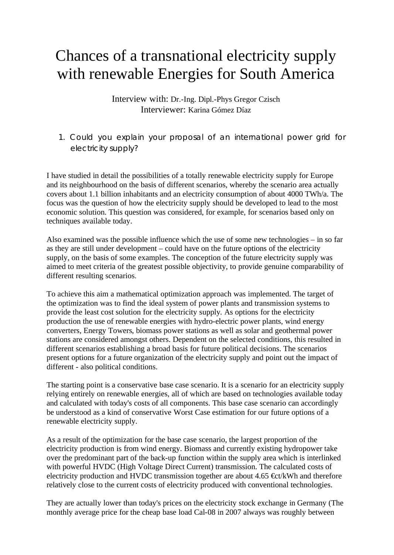## Chances of a transnational electricity supply with renewable Energies for South America

Interview with: Dr.-Ing. Dipl.-Phys Gregor Czisch Interviewer: Karina Gómez Díaz

1. Could you explain your proposal of an international power grid for electricity supply?

I have studied in detail the possibilities of a totally renewable electricity supply for Europe and its neighbourhood on the basis of different scenarios, whereby the scenario area actually covers about 1.1 billion inhabitants and an electricity consumption of about 4000 TWh/a. The focus was the question of how the electricity supply should be developed to lead to the most economic solution. This question was considered, for example, for scenarios based only on techniques available today.

Also examined was the possible influence which the use of some new technologies – in so far as they are still under development – could have on the future options of the electricity supply, on the basis of some examples. The conception of the future electricity supply was aimed to meet criteria of the greatest possible objectivity, to provide genuine comparability of different resulting scenarios.

To achieve this aim a mathematical optimization approach was implemented. The target of the optimization was to find the ideal system of power plants and transmission systems to provide the least cost solution for the electricity supply. As options for the electricity production the use of renewable energies with hydro-electric power plants, wind energy converters, Energy Towers, biomass power stations as well as solar and geothermal power stations are considered amongst others. Dependent on the selected conditions, this resulted in different scenarios establishing a broad basis for future political decisions. The scenarios present options for a future organization of the electricity supply and point out the impact of different - also political conditions.

The starting point is a conservative base case scenario. It is a scenario for an electricity supply relying entirely on renewable energies, all of which are based on technologies available today and calculated with today's costs of all components. This base case scenario can accordingly be understood as a kind of conservative Worst Case estimation for our future options of a renewable electricity supply.

As a result of the optimization for the base case scenario, the largest proportion of the electricity production is from wind energy. Biomass and currently existing hydropower take over the predominant part of the back-up function within the supply area which is interlinked with powerful HVDC (High Voltage Direct Current) transmission. The calculated costs of electricity production and HVDC transmission together are about 4.65  $\text{Et/kWh}$  and therefore relatively close to the current costs of electricity produced with conventional technologies.

They are actually lower than today's prices on the electricity stock exchange in Germany (The monthly average price for the cheap base load Cal-08 in 2007 always was roughly between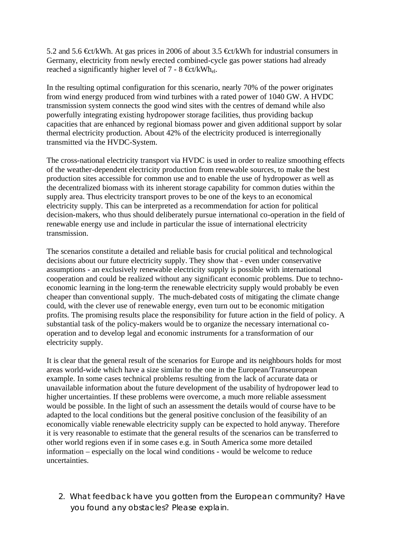5.2 and 5.6  $\text{Et/kWh}$ . At gas prices in 2006 of about 3.5  $\text{Et/kWh}$  for industrial consumers in Germany, electricity from newly erected combined-cycle gas power stations had already reached a significantly higher level of 7 - 8 €ct/kWhel.

In the resulting optimal configuration for this scenario, nearly 70% of the power originates from wind energy produced from wind turbines with a rated power of 1040 GW. A HVDC transmission system connects the good wind sites with the centres of demand while also powerfully integrating existing hydropower storage facilities, thus providing backup capacities that are enhanced by regional biomass power and given additional support by solar thermal electricity production. About 42% of the electricity produced is interregionally transmitted via the HVDC-System.

The cross-national electricity transport via HVDC is used in order to realize smoothing effects of the weather-dependent electricity production from renewable sources, to make the best production sites accessible for common use and to enable the use of hydropower as well as the decentralized biomass with its inherent storage capability for common duties within the supply area. Thus electricity transport proves to be one of the keys to an economical electricity supply. This can be interpreted as a recommendation for action for political decision-makers, who thus should deliberately pursue international co-operation in the field of renewable energy use and include in particular the issue of international electricity transmission.

The scenarios constitute a detailed and reliable basis for crucial political and technological decisions about our future electricity supply. They show that - even under conservative assumptions - an exclusively renewable electricity supply is possible with international cooperation and could be realized without any significant economic problems. Due to technoeconomic learning in the long-term the renewable electricity supply would probably be even cheaper than conventional supply. The much-debated costs of mitigating the climate change could, with the clever use of renewable energy, even turn out to be economic mitigation profits. The promising results place the responsibility for future action in the field of policy. A substantial task of the policy-makers would be to organize the necessary international cooperation and to develop legal and economic instruments for a transformation of our electricity supply.

It is clear that the general result of the scenarios for Europe and its neighbours holds for most areas world-wide which have a size similar to the one in the European/Transeuropean example. In some cases technical problems resulting from the lack of accurate data or unavailable information about the future development of the usability of hydropower lead to higher uncertainties. If these problems were overcome, a much more reliable assessment would be possible. In the light of such an assessment the details would of course have to be adapted to the local conditions but the general positive conclusion of the feasibility of an economically viable renewable electricity supply can be expected to hold anyway. Therefore it is very reasonable to estimate that the general results of the scenarios can be transferred to other world regions even if in some cases e.g. in South America some more detailed information – especially on the local wind conditions - would be welcome to reduce uncertainties.

2. What feedback have you gotten from the European community? Have you found any obstacles? Please explain.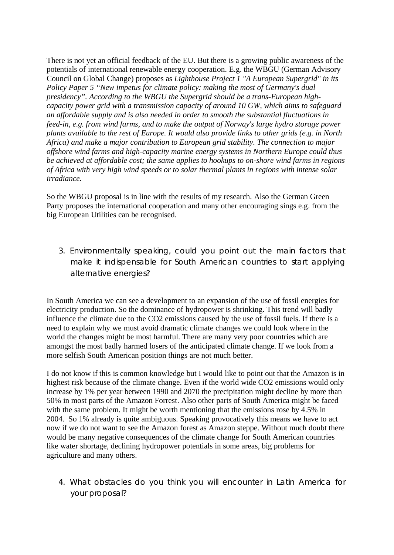There is not yet an official feedback of the EU. But there is a growing public awareness of the potentials of international renewable energy cooperation. E.g. the WBGU (German Advisory Council on Global Change) proposes as *Lighthouse Project 1 "A European Supergrid" in its Policy Paper 5 "New impetus for climate policy: making the most of Germany's dual presidency". According to the WBGU the Supergrid should be a trans-European highcapacity power grid with a transmission capacity of around 10 GW, which aims to safeguard an affordable supply and is also needed in order to smooth the substantial fluctuations in feed-in, e.g. from wind farms, and to make the output of Norway's large hydro storage power plants available to the rest of Europe. It would also provide links to other grids (e.g. in North Africa) and make a major contribution to European grid stability. The connection to major offshore wind farms and high-capacity marine energy systems in Northern Europe could thus be achieved at affordable cost; the same applies to hookups to on-shore wind farms in regions of Africa with very high wind speeds or to solar thermal plants in regions with intense solar irradiance.*

So the WBGU proposal is in line with the results of my research. Also the German Green Party proposes the international cooperation and many other encouraging sings e.g. from the big European Utilities can be recognised.

3. Environmentally speaking, could you point out the main factors that make it indispensable for South American countries to start applying alternative energies?

In South America we can see a development to an expansion of the use of fossil energies for electricity production. So the dominance of hydropower is shrinking. This trend will badly influence the climate due to the CO2 emissions caused by the use of fossil fuels. If there is a need to explain why we must avoid dramatic climate changes we could look where in the world the changes might be most harmful. There are many very poor countries which are amongst the most badly harmed losers of the anticipated climate change. If we look from a more selfish South American position things are not much better.

I do not know if this is common knowledge but I would like to point out that the Amazon is in highest risk because of the climate change. Even if the world wide CO2 emissions would only increase by 1% per year between 1990 and 2070 the precipitation might decline by more than 50% in most parts of the Amazon Forrest. Also other parts of South America might be faced with the same problem. It might be worth mentioning that the emissions rose by 4.5% in 2004. So 1% already is quite ambiguous. Speaking provocatively this means we have to act now if we do not want to see the Amazon forest as Amazon steppe. Without much doubt there would be many negative consequences of the climate change for South American countries like water shortage, declining hydropower potentials in some areas, big problems for agriculture and many others.

4. What obstacles do you think you will encounter in Latin America for your proposal?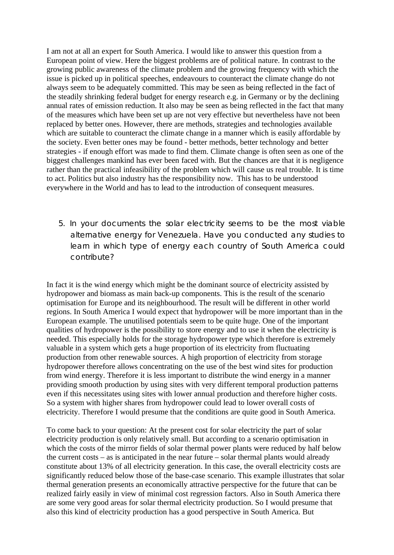I am not at all an expert for South America. I would like to answer this question from a European point of view. Here the biggest problems are of political nature. In contrast to the growing public awareness of the climate problem and the growing frequency with which the issue is picked up in political speeches, endeavours to counteract the climate change do not always seem to be adequately committed. This may be seen as being reflected in the fact of the steadily shrinking federal budget for energy research e.g. in Germany or by the declining annual rates of emission reduction. It also may be seen as being reflected in the fact that many of the measures which have been set up are not very effective but nevertheless have not been replaced by better ones. However, there are methods, strategies and technologies available which are suitable to counteract the climate change in a manner which is easily affordable by the society. Even better ones may be found - better methods, better technology and better strategies - if enough effort was made to find them. Climate change is often seen as one of the biggest challenges mankind has ever been faced with. But the chances are that it is negligence rather than the practical infeasibility of the problem which will cause us real trouble. It is time to act. Politics but also industry has the responsibility now. This has to be understood everywhere in the World and has to lead to the introduction of consequent measures.

5. In your documents the solar electricity seems to be the most viable alternative energy for Venezuela. Have you conducted any studies to learn in which type of energy each country of South America could contribute?

In fact it is the wind energy which might be the dominant source of electricity assisted by hydropower and biomass as main back-up components. This is the result of the scenario optimisation for Europe and its neighbourhood. The result will be different in other world regions. In South America I would expect that hydropower will be more important than in the European example. The unutilised potentials seem to be quite huge. One of the important qualities of hydropower is the possibility to store energy and to use it when the electricity is needed. This especially holds for the storage hydropower type which therefore is extremely valuable in a system which gets a huge proportion of its electricity from fluctuating production from other renewable sources. A high proportion of electricity from storage hydropower therefore allows concentrating on the use of the best wind sites for production from wind energy. Therefore it is less important to distribute the wind energy in a manner providing smooth production by using sites with very different temporal production patterns even if this necessitates using sites with lower annual production and therefore higher costs. So a system with higher shares from hydropower could lead to lower overall costs of electricity. Therefore I would presume that the conditions are quite good in South America.

To come back to your question: At the present cost for solar electricity the part of solar electricity production is only relatively small. But according to a scenario optimisation in which the costs of the mirror fields of solar thermal power plants were reduced by half below the current costs – as is anticipated in the near future – solar thermal plants would already constitute about 13% of all electricity generation. In this case, the overall electricity costs are significantly reduced below those of the base-case scenario. This example illustrates that solar thermal generation presents an economically attractive perspective for the future that can be realized fairly easily in view of minimal cost regression factors. Also in South America there are some very good areas for solar thermal electricity production. So I would presume that also this kind of electricity production has a good perspective in South America. But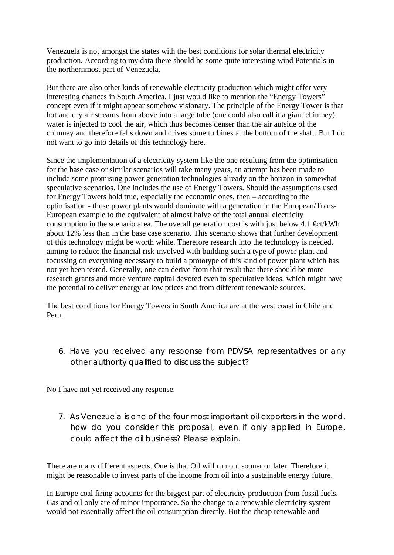Venezuela is not amongst the states with the best conditions for solar thermal electricity production. According to my data there should be some quite interesting wind Potentials in the northernmost part of Venezuela.

But there are also other kinds of renewable electricity production which might offer very interesting chances in South America. I just would like to mention the "Energy Towers" concept even if it might appear somehow visionary. The principle of the Energy Tower is that hot and dry air streams from above into a large tube (one could also call it a giant chimney), water is injected to cool the air, which thus becomes denser than the air autside of the chimney and therefore falls down and drives some turbines at the bottom of the shaft. But I do not want to go into details of this technology here.

Since the implementation of a electricity system like the one resulting from the optimisation for the base case or similar scenarios will take many years, an attempt has been made to include some promising power generation technologies already on the horizon in somewhat speculative scenarios. One includes the use of Energy Towers. Should the assumptions used for Energy Towers hold true, especially the economic ones, then – according to the optimisation - those power plants would dominate with a generation in the European/Trans-European example to the equivalent of almost halve of the total annual electricity consumption in the scenario area. The overall generation cost is with just below 4.1  $\text{Et/kWh}$ about 12% less than in the base case scenario. This scenario shows that further development of this technology might be worth while. Therefore research into the technology is needed, aiming to reduce the financial risk involved with building such a type of power plant and focussing on everything necessary to build a prototype of this kind of power plant which has not yet been tested. Generally, one can derive from that result that there should be more research grants and more venture capital devoted even to speculative ideas, which might have the potential to deliver energy at low prices and from different renewable sources.

The best conditions for Energy Towers in South America are at the west coast in Chile and Peru.

6. Have you received any response from PDVSA representatives or any other authority qualified to discuss the subject?

No I have not yet received any response.

7. As Venezuela is one of the four most important oil exporters in the world, how do you consider this proposal, even if only applied in Europe, could affect the oil business? Please explain.

There are many different aspects. One is that Oil will run out sooner or later. Therefore it might be reasonable to invest parts of the income from oil into a sustainable energy future.

In Europe coal firing accounts for the biggest part of electricity production from fossil fuels. Gas and oil only are of minor importance. So the change to a renewable electricity system would not essentially affect the oil consumption directly. But the cheap renewable and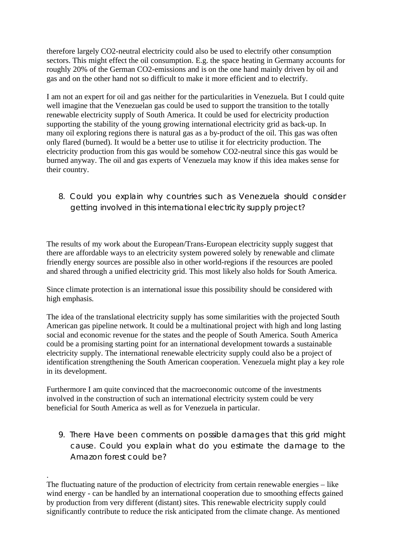therefore largely CO2-neutral electricity could also be used to electrify other consumption sectors. This might effect the oil consumption. E.g. the space heating in Germany accounts for roughly 20% of the German CO2-emissions and is on the one hand mainly driven by oil and gas and on the other hand not so difficult to make it more efficient and to electrify.

I am not an expert for oil and gas neither for the particularities in Venezuela. But I could quite well imagine that the Venezuelan gas could be used to support the transition to the totally renewable electricity supply of South America. It could be used for electricity production supporting the stability of the young growing international electricity grid as back-up. In many oil exploring regions there is natural gas as a by-product of the oil. This gas was often only flared (burned). It would be a better use to utilise it for electricity production. The electricity production from this gas would be somehow CO2-neutral since this gas would be burned anyway. The oil and gas experts of Venezuela may know if this idea makes sense for their country.

8. Could you explain why countries such as Venezuela should consider getting involved in this international electricity supply project?

The results of my work about the European/Trans-European electricity supply suggest that there are affordable ways to an electricity system powered solely by renewable and climate friendly energy sources are possible also in other world-regions if the resources are pooled and shared through a unified electricity grid. This most likely also holds for South America.

Since climate protection is an international issue this possibility should be considered with high emphasis.

The idea of the translational electricity supply has some similarities with the projected South American gas pipeline network. It could be a multinational project with high and long lasting social and economic revenue for the states and the people of South America. South America could be a promising starting point for an international development towards a sustainable electricity supply. The international renewable electricity supply could also be a project of identification strengthening the South American cooperation. Venezuela might play a key role in its development.

Furthermore I am quite convinced that the macroeconomic outcome of the investments involved in the construction of such an international electricity system could be very beneficial for South America as well as for Venezuela in particular.

9. There Have been comments on possible damages that this grid might cause. Could you explain what do you estimate the damage to the Amazon forest could be?

<sup>.</sup> The fluctuating nature of the production of electricity from certain renewable energies – like wind energy - can be handled by an international cooperation due to smoothing effects gained by production from very different (distant) sites. This renewable electricity supply could significantly contribute to reduce the risk anticipated from the climate change. As mentioned